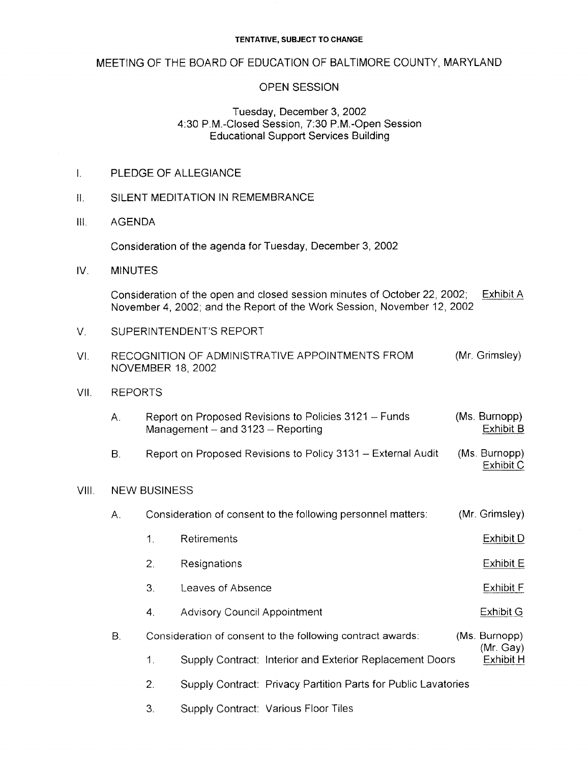#### TENTATIVE, SUBJECT TO CHANGE

## MEETING OF THE BOARD OF EDUCATION OF BALTIMORE COUNTY, MARYLAND

## OPEN SESSION

#### Tuesday, December 3, 2002 4:30 P.M .-Closed Session, 7:30 P.M .-Open Session Educational Support Services Building

- $\mathbf{L}$ PLEDGE OF ALLEGIANCE
- II. SILENT MEDITATION IN REMEMBRANCE
- III. AGENDA

Consideration of the agenda for Tuesday, December 3, 2002

IV. MINUTES

Consideration of the open and closed session minutes of October 22, 2002; Exhibit A November 4, 2002 ; and the Report of the Work Session, November 12, 2002

- V. SUPERINTENDENT'S REPORT
- VI. RECOGNITION OF ADMINISTRATIVE APPOINTMENTS FROM (Mr. Grimsley) NOVEMBER 18, 2002
- VII. REPORTS
	- A. Report on Proposed Revisions to Policies 3121 Funds (Ms. Burnopp)<br>Management and 3123 Reporting (Ms. Exhibit B Management  $-$  and 3123  $-$  Reporting
	- B. Report on Proposed Revisions to Policy 3131 External Audit (Ms. Burnopp) Exhibit C

#### VIII. NEW BUSINESS

|  | Consideration of consent to the following personnel matters: | (Mr. Grimsley) |
|--|--------------------------------------------------------------|----------------|
|--|--------------------------------------------------------------|----------------|

- 1. Retirements **Exhibit D**
- $2.$ Resignations **Exhibit Exhibit Exhibit Exhibit Exhibit Exhibit Exhibit Exhibit Exhibit Exhibit Exhibit Exhibit Exhibit Exhibit Exhibit Exhibit Exhibit Exhibit Exhibit Exhibit Exhibit Exhibit Exhibit Exhibit Exhibit Exhibit**
- 3. Leaves of Absence **Exhibit F**
- 4. Advisory Council Appointment Exhibit G
- B. Consideration of consent to the following contract awards: (Ms. Burnopp) (Mr. Gay) 1. Supply Contract: Interior and Exterior Replacement Doors
	- 2. Supply Contract: Privacy Partition Parts for Public Lavatories
	- 3. Supply Contract: Various Floor Tiles